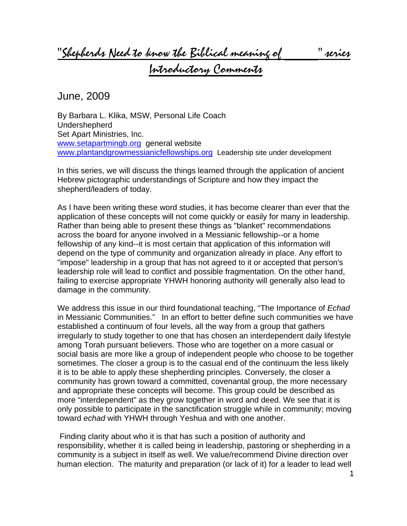"Shepherds Need to know the Biblical meaning of \_\_\_\_\_" series

Introductory Comments

June, 2009

By Barbara L. Klika, MSW, Personal Life Coach Undershepherd Set Apart Ministries, Inc. [www.setapartmingb.org](http://www.setapartmingb.org/) general website [www.plantandgrowmessianicfellowships.org](http://www.plantandgrowmessianicfellowships.org/) Leadership site under development

In this series, we will discuss the things learned through the application of ancient Hebrew pictographic understandings of Scripture and how they impact the shepherd/leaders of today.

As I have been writing these word studies, it has become clearer than ever that the application of these concepts will not come quickly or easily for many in leadership. Rather than being able to present these things as "blanket" recommendations across the board for anyone involved in a Messianic fellowship--or a home fellowship of any kind--it is most certain that application of this information will depend on the type of community and organization already in place. Any effort to "impose" leadership in a group that has not agreed to it or accepted that person's leadership role will lead to conflict and possible fragmentation. On the other hand, failing to exercise appropriate YHWH honoring authority will generally also lead to damage in the community.

We address this issue in our third foundational teaching, "The Importance of *Echad* in Messianic Communities." In an effort to better define such communities we have established a continuum of four levels, all the way from a group that gathers irregularly to study together to one that has chosen an interdependent daily lifestyle among Torah pursuant believers. Those who are together on a more casual or social basis are more like a group of independent people who choose to be together sometimes. The closer a group is to the casual end of the continuum the less likely it is to be able to apply these shepherding principles. Conversely, the closer a community has grown toward a committed, covenantal group, the more necessary and appropriate these concepts will become. This group could be described as more "interdependent" as they grow together in word and deed. We see that it is only possible to participate in the sanctification struggle while in community; moving toward *echad* with YHWH through Yeshua and with one another.

 Finding clarity about who it is that has such a position of authority and responsibility, whether it is called being in leadership, pastoring or shepherding in a community is a subject in itself as well. We value/recommend Divine direction over human election. The maturity and preparation (or lack of it) for a leader to lead well